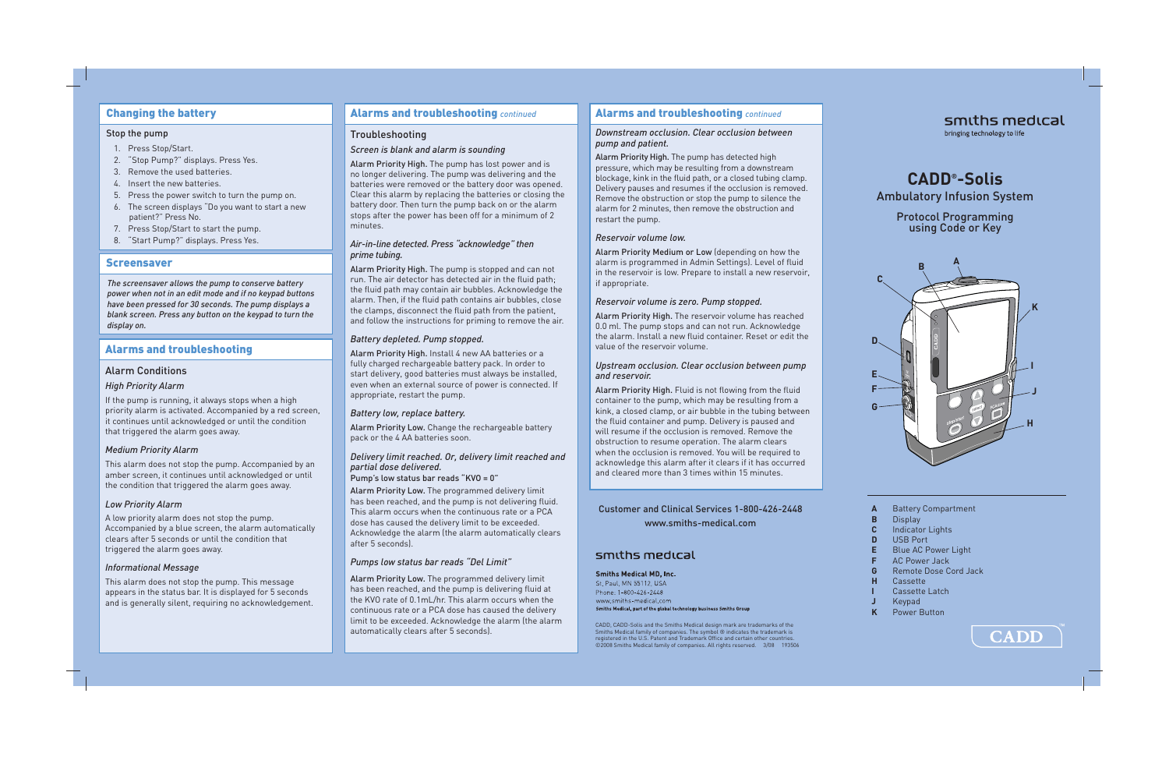# Changing the battery

#### Stop the pump

- 1. Press Stop/Start.
- 2. "Stop Pump?" displays. Press Yes.
- 3. Remove the used batteries.
- 4. Insert the new batteries.
- 5. Press the power switch to turn the pump on.
- 6. The screen displays "Do you want to start a new patient?" Press No.
- 7. Press Stop/Start to start the pump.
- 8. "Start Pump?" displays. Press Yes.

# Screensaver

*The screensaver allows the pump to conserve battery power when not in an edit mode and if no keypad buttons have been pressed for 30 seconds. The pump displays a blank screen. Press any button on the keypad to turn the display on.*

# Alarms and troubleshooting

# Alarm Conditions

# *High Priority Alarm*

If the pump is running, it always stops when a high priority alarm is activated. Accompanied by a red screen, it continues until acknowledged or until the condition that triggered the alarm goes away.

## *Medium Priority Alarm*

This alarm does not stop the pump. Accompanied by an amber screen, it continues until acknowledged or until the condition that triggered the alarm goes away.

## *Low Priority Alarm*

A low priority alarm does not stop the pump. Accompanied by a blue screen, the alarm automatically clears after 5 seconds or until the condition that triggered the alarm goes away.

## *Informational Message*

This alarm does not stop the pump. This message appears in the status bar. It is displayed for 5 seconds and is generally silent, requiring no acknowledgement.

## Alarms and troubleshooting *continued*

# Troubleshooting

## *Screen is blank and alarm is sounding*

Alarm Priority High. The pump has lost power and is no longer delivering. The pump was delivering and the batteries were removed or the battery door was opened. Clear this alarm by replacing the batteries or closing the battery door. Then turn the pump back on or the alarm stops after the power has been off for a minimum of 2 minutes.

## *Air-in-line detected. Press "acknowledge" then prime tubing.*

Alarm Priority High. The pump is stopped and can not run. The air detector has detected air in the fluid path; the fluid path may contain air bubbles. Acknowledge the alarm. Then, if the fluid path contains air bubbles, close the clamps, disconnect the fluid path from the patient, and follow the instructions for priming to remove the air.

# *Battery depleted. Pump stopped.*

Alarm Priority High. Install 4 new AA batteries or a fully charged rechargeable battery pack. In order to start delivery, good batteries must always be installed, even when an external source of power is connected. If appropriate, restart the pump.

# *Battery low, replace battery.*

Alarm Priority Low. Change the rechargeable battery pack or the 4 AA batteries soon.

# *Delivery limit reached. Or, delivery limit reached and partial dose delivered.*

Pump's low status bar reads "KVO = 0"

Alarm Priority Low. The programmed delivery limit has been reached, and the pump is not delivering fluid. This alarm occurs when the continuous rate or a PCA dose has caused the delivery limit to be exceeded. Acknowledge the alarm (the alarm automatically clears after 5 seconds).

# *Pumps low status bar reads "Del Limit"*

Alarm Priority Low. The programmed delivery limit has been reached, and the pump is delivering fluid at the KVO rate of 0.1mL/hr. This alarm occurs when the continuous rate or a PCA dose has caused the delivery limit to be exceeded. Acknowledge the alarm (the alarm automatically clears after 5 seconds).

# Alarms and troubleshooting *continued*

#### *Downstream occlusion. Clear occlusion between pump and patient.*

Alarm Priority High. The pump has detected high pressure, which may be resulting from a downstream blockage, kink in the fluid path, or a closed tubing clamp. Delivery pauses and resumes if the occlusion is removed. Remove the obstruction or stop the pump to silence the alarm for 2 minutes, then remove the obstruction and restart the pump.

# *Reservoir volume low.*

Alarm Priority Medium or Low (depending on how the alarm is programmed in Admin Settings). Level of fluid in the reservoir is low. Prepare to install a new reservoir, if appropriate.

# *Reservoir volume is zero. Pump stopped.*

Alarm Priority High. The reservoir volume has reached 0.0 ml. The pump stops and can not run. Acknowledge the alarm. Install a new fluid container. Reset or edit the value of the reservoir volume.

#### *Upstream occlusion. Clear occlusion between pump and reservoir.*

Alarm Priority High. Fluid is not flowing from the fluid container to the pump, which may be resulting from a kink, a closed clamp, or air bubble in the tubing between the fluid container and pump. Delivery is paused and will resume if the occlusion is removed. Remove the obstruction to resume operation. The alarm clears when the occlusion is removed. You will be required to acknowledge this alarm after it clears if it has occurred and cleared more than 3 times within 15 minutes.

Customer and Clinical Services 1-800-426-2448 www.smiths-medical.com

# smiths medical

## **Smiths Medical MD, Inc.**

St. Paul, MN 55112, USA Phone: 1-800-426-2448 www.smiths-medical.com Smiths Medical, part of the global technology business Smiths Group

CADD, CADD-Solis and the Smiths Medical design mark are trademarks of the Smiths Medical family of companies. The symbol ® indicates the trademark is registered in the U.S. Patent and Trademark Offi ce and certain other countries. ©2008 Smiths Medical family of companies. All rights reserved. 3/08 193506

# smiths medical bringing technology to life

# **CADD® -Solis**

Ambulatory Infusion System

Protocol Programming using Code or Key



- **A** Battery Compartment
- **B** Display
- **C** Indicator Lights
- **D** USB Port
- **E** Blue AC Power Light
- **AC Power Jack**
- **G** Remote Dose Cord Jack
- **H** Cassette
- **I** Cassette Latch
- **J** Keypad
- **Power Button**